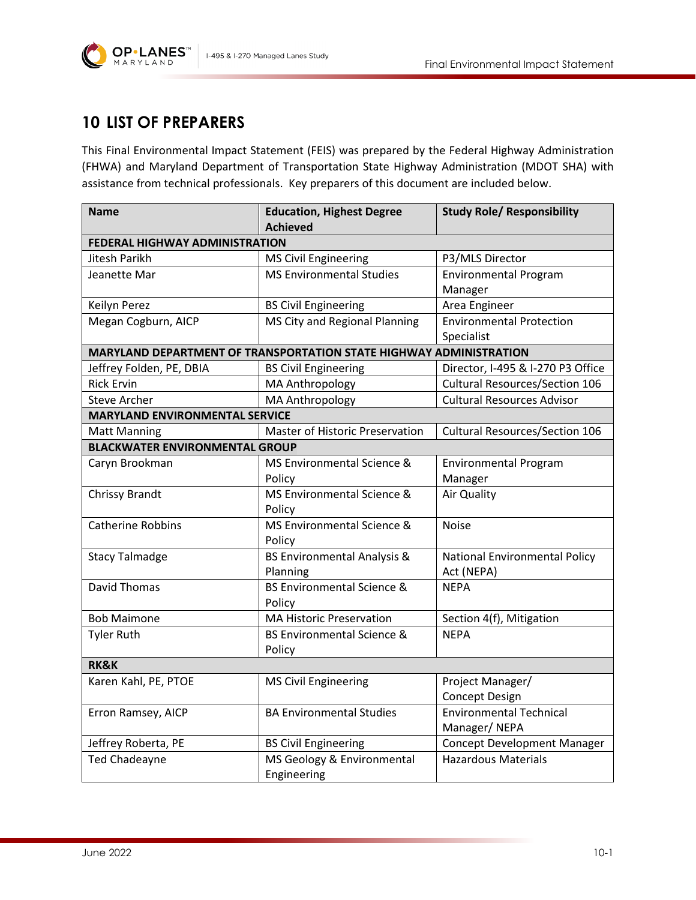



## **10 LIST OF PREPARERS**

**OP**·LANES

MARYLAND

This Final Environmental Impact Statement (FEIS) was prepared by the Federal Highway Administration (FHWA) and Maryland Department of Transportation State Highway Administration (MDOT SHA) with assistance from technical professionals. Key preparers of this document are included below.

| <b>Name</b>                                                        | <b>Education, Highest Degree</b>       | <b>Study Role/ Responsibility</b>     |  |
|--------------------------------------------------------------------|----------------------------------------|---------------------------------------|--|
|                                                                    | <b>Achieved</b>                        |                                       |  |
| <b>FEDERAL HIGHWAY ADMINISTRATION</b>                              |                                        |                                       |  |
| Jitesh Parikh                                                      | <b>MS Civil Engineering</b>            | P3/MLS Director                       |  |
| Jeanette Mar                                                       | <b>MS Environmental Studies</b>        | <b>Environmental Program</b>          |  |
|                                                                    |                                        | Manager                               |  |
| Keilyn Perez                                                       | <b>BS Civil Engineering</b>            | Area Engineer                         |  |
| Megan Cogburn, AICP                                                | MS City and Regional Planning          | <b>Environmental Protection</b>       |  |
|                                                                    |                                        | Specialist                            |  |
| MARYLAND DEPARTMENT OF TRANSPORTATION STATE HIGHWAY ADMINISTRATION |                                        |                                       |  |
| Jeffrey Folden, PE, DBIA                                           | <b>BS Civil Engineering</b>            | Director, I-495 & I-270 P3 Office     |  |
| <b>Rick Ervin</b>                                                  | MA Anthropology                        | <b>Cultural Resources/Section 106</b> |  |
| <b>Steve Archer</b>                                                | MA Anthropology                        | <b>Cultural Resources Advisor</b>     |  |
| <b>MARYLAND ENVIRONMENTAL SERVICE</b>                              |                                        |                                       |  |
| <b>Matt Manning</b>                                                | Master of Historic Preservation        | <b>Cultural Resources/Section 106</b> |  |
| <b>BLACKWATER ENVIRONMENTAL GROUP</b>                              |                                        |                                       |  |
| Caryn Brookman                                                     | MS Environmental Science &             | <b>Environmental Program</b>          |  |
|                                                                    | Policy                                 | Manager                               |  |
| Chrissy Brandt                                                     | MS Environmental Science &             | Air Quality                           |  |
|                                                                    | Policy                                 |                                       |  |
| <b>Catherine Robbins</b>                                           | MS Environmental Science &             | <b>Noise</b>                          |  |
|                                                                    | Policy                                 |                                       |  |
| <b>Stacy Talmadge</b>                                              | <b>BS Environmental Analysis &amp;</b> | National Environmental Policy         |  |
|                                                                    | Planning                               | Act (NEPA)                            |  |
| <b>David Thomas</b>                                                | <b>BS Environmental Science &amp;</b>  | <b>NEPA</b>                           |  |
|                                                                    | Policy                                 |                                       |  |
| <b>Bob Maimone</b>                                                 | <b>MA Historic Preservation</b>        | Section 4(f), Mitigation              |  |
| <b>Tyler Ruth</b>                                                  | <b>BS Environmental Science &amp;</b>  | <b>NEPA</b>                           |  |
|                                                                    | Policy                                 |                                       |  |
| <b>RK&amp;K</b>                                                    |                                        |                                       |  |
| Karen Kahl, PE, PTOE                                               | <b>MS Civil Engineering</b>            | Project Manager/                      |  |
|                                                                    |                                        | Concept Design                        |  |
| Erron Ramsey, AICP                                                 | <b>BA Environmental Studies</b>        | <b>Environmental Technical</b>        |  |
|                                                                    |                                        | Manager/NEPA                          |  |
| Jeffrey Roberta, PE                                                | <b>BS Civil Engineering</b>            | <b>Concept Development Manager</b>    |  |
| <b>Ted Chadeayne</b>                                               | MS Geology & Environmental             | <b>Hazardous Materials</b>            |  |
|                                                                    | Engineering                            |                                       |  |